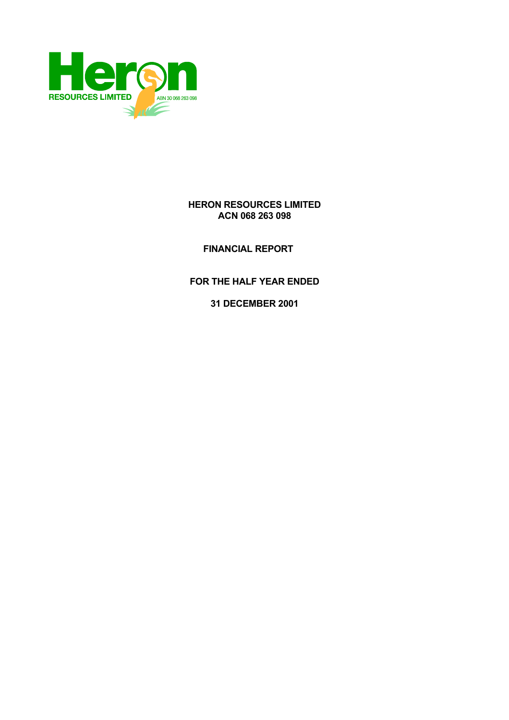

## **HERON RESOURCES LIMITED ACN 068 263 098**

 **FINANCIAL REPORT** 

**FOR THE HALF YEAR ENDED** 

**31 DECEMBER 2001**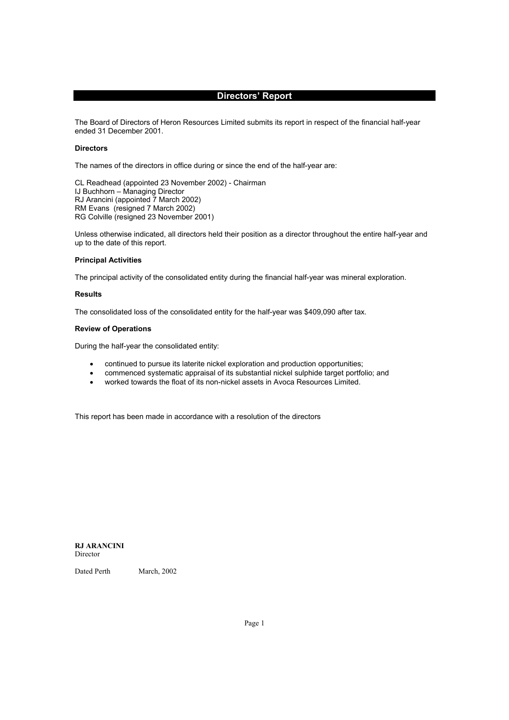## **Directors' Report**

The Board of Directors of Heron Resources Limited submits its report in respect of the financial half-year ended 31 December 2001.

## **Directors**

The names of the directors in office during or since the end of the half-year are:

CL Readhead (appointed 23 November 2002) - Chairman IJ Buchhorn – Managing Director RJ Arancini (appointed 7 March 2002) RM Evans (resigned 7 March 2002) RG Colville (resigned 23 November 2001)

Unless otherwise indicated, all directors held their position as a director throughout the entire half-year and up to the date of this report.

## **Principal Activities**

The principal activity of the consolidated entity during the financial half-year was mineral exploration.

## **Results**

The consolidated loss of the consolidated entity for the half-year was \$409,090 after tax.

## **Review of Operations**

During the half-year the consolidated entity:

- continued to pursue its laterite nickel exploration and production opportunities;
- commenced systematic appraisal of its substantial nickel sulphide target portfolio; and
- worked towards the float of its non-nickel assets in Avoca Resources Limited.

This report has been made in accordance with a resolution of the directors

**RJ ARANCINI**  Director

Dated Perth March, 2002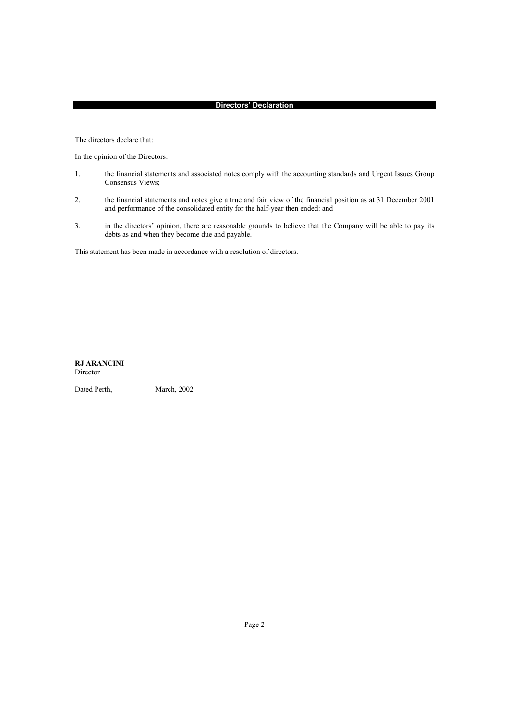## **Directors' Declaration**

The directors declare that:

In the opinion of the Directors:

- 1. the financial statements and associated notes comply with the accounting standards and Urgent Issues Group Consensus Views;
- 2. the financial statements and notes give a true and fair view of the financial position as at 31 December 2001 and performance of the consolidated entity for the half-year then ended: and
- 3. in the directors' opinion, there are reasonable grounds to believe that the Company will be able to pay its debts as and when they become due and payable.

This statement has been made in accordance with a resolution of directors.

**RJ ARANCINI**  Director

Dated Perth, March, 2002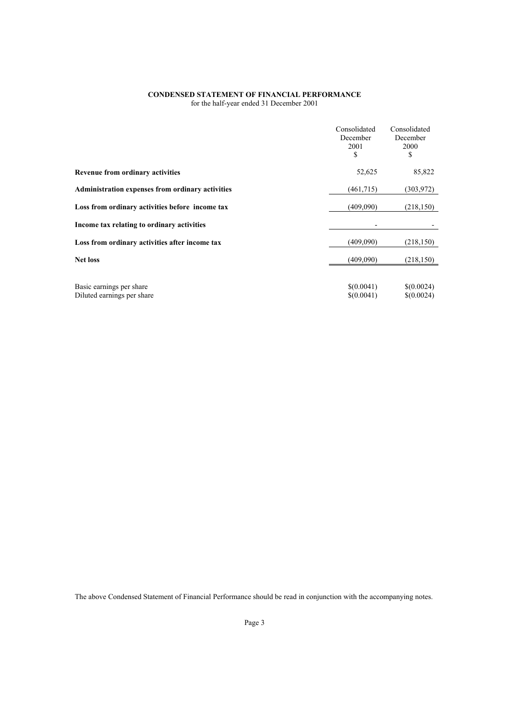#### **CONDENSED STATEMENT OF FINANCIAL PERFORMANCE**  for the half-year ended 31 December 2001

|                                                        | Consolidated<br>December<br>2001<br>\$ | Consolidated<br>December<br>2000<br>S |
|--------------------------------------------------------|----------------------------------------|---------------------------------------|
| <b>Revenue from ordinary activities</b>                | 52,625                                 | 85,822                                |
| Administration expenses from ordinary activities       | (461,715)                              | (303, 972)                            |
| Loss from ordinary activities before income tax        | (409,090)                              | (218, 150)                            |
| Income tax relating to ordinary activities             |                                        |                                       |
| Loss from ordinary activities after income tax         | (409,090)                              | (218, 150)                            |
| <b>Net loss</b>                                        | (409,090)                              | (218, 150)                            |
|                                                        |                                        |                                       |
| Basic earnings per share<br>Diluted earnings per share | \$(0.0041)<br>\$(0.0041)               | \$(0.0024)<br>\$(0.0024)              |

The above Condensed Statement of Financial Performance should be read in conjunction with the accompanying notes.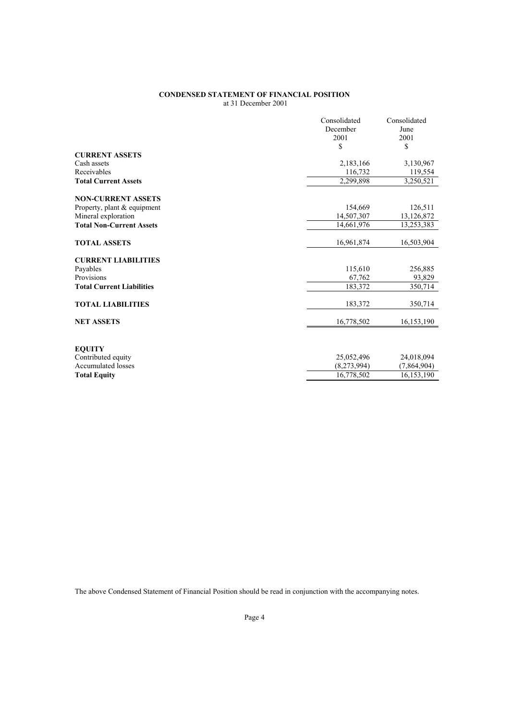## **CONDENSED STATEMENT OF FINANCIAL POSITION**  at 31 December 2001

|                                  | Consolidated | Consolidated |
|----------------------------------|--------------|--------------|
|                                  | December     | June         |
|                                  | 2001         | 2001         |
|                                  | \$           | \$           |
| <b>CURRENT ASSETS</b>            |              |              |
| Cash assets                      | 2,183,166    | 3,130,967    |
| Receivables                      | 116,732      |              |
|                                  |              | 119,554      |
| <b>Total Current Assets</b>      | 2,299,898    | 3,250,521    |
| <b>NON-CURRENT ASSETS</b>        |              |              |
| Property, plant & equipment      | 154,669      | 126,511      |
| Mineral exploration              | 14,507,307   | 13,126,872   |
| <b>Total Non-Current Assets</b>  | 14,661,976   | 13,253,383   |
|                                  |              |              |
| <b>TOTAL ASSETS</b>              | 16,961,874   | 16,503,904   |
| <b>CURRENT LIABILITIES</b>       |              |              |
| Payables                         | 115,610      | 256,885      |
| Provisions                       | 67,762       |              |
|                                  |              | 93,829       |
| <b>Total Current Liabilities</b> | 183,372      | 350,714      |
| <b>TOTAL LIABILITIES</b>         | 183,372      | 350,714      |
|                                  |              |              |
| <b>NET ASSETS</b>                | 16,778,502   | 16,153,190   |
|                                  |              |              |
| <b>EQUITY</b>                    |              |              |
| Contributed equity               | 25,052,496   | 24,018,094   |
| Accumulated losses               | (8,273,994)  | (7,864,904)  |
| <b>Total Equity</b>              | 16,778,502   | 16,153,190   |
|                                  |              |              |

The above Condensed Statement of Financial Position should be read in conjunction with the accompanying notes.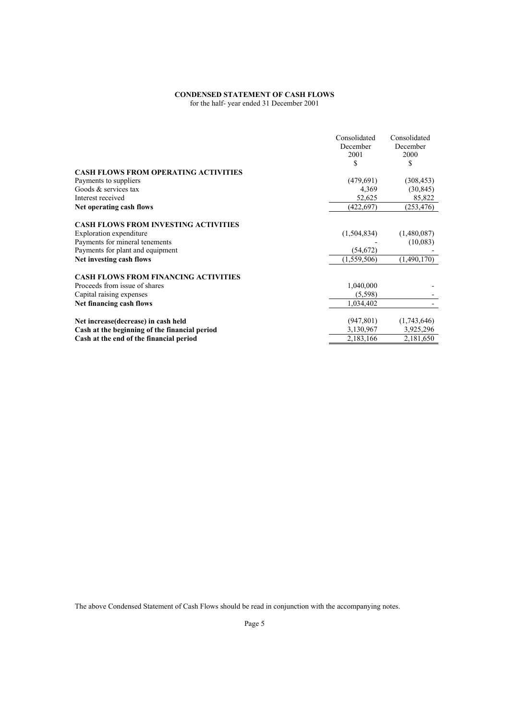# **CONDENSED STATEMENT OF CASH FLOWS**

for the half- year ended 31 December 2001

|                                               | Consolidated<br>December<br>2001<br>S | Consolidated<br>December<br>2000<br>\$ |
|-----------------------------------------------|---------------------------------------|----------------------------------------|
| <b>CASH FLOWS FROM OPERATING ACTIVITIES</b>   |                                       |                                        |
| Payments to suppliers                         | (479,691)                             | (308, 453)                             |
| Goods & services tax                          | 4,369                                 | (30, 845)                              |
| Interest received                             | 52,625                                | 85,822                                 |
| Net operating cash flows                      | (422, 697)                            | (253, 476)                             |
| <b>CASH FLOWS FROM INVESTING ACTIVITIES</b>   |                                       |                                        |
| Exploration expenditure                       | (1,504,834)                           | (1,480,087)                            |
| Payments for mineral tenements                |                                       | (10,083)                               |
| Payments for plant and equipment              | (54, 672)                             |                                        |
| Net investing cash flows                      | (1,559,506)                           | (1,490,170)                            |
| <b>CASH FLOWS FROM FINANCING ACTIVITIES</b>   |                                       |                                        |
| Proceeds from issue of shares                 | 1,040,000                             |                                        |
| Capital raising expenses                      | (5,598)                               |                                        |
| Net financing cash flows                      | 1,034,402                             |                                        |
| Net increase (decrease) in cash held          | (947, 801)                            | (1,743,646)                            |
| Cash at the beginning of the financial period | 3,130,967                             | 3,925,296                              |
| Cash at the end of the financial period       | 2,183,166                             | 2,181,650                              |

The above Condensed Statement of Cash Flows should be read in conjunction with the accompanying notes.